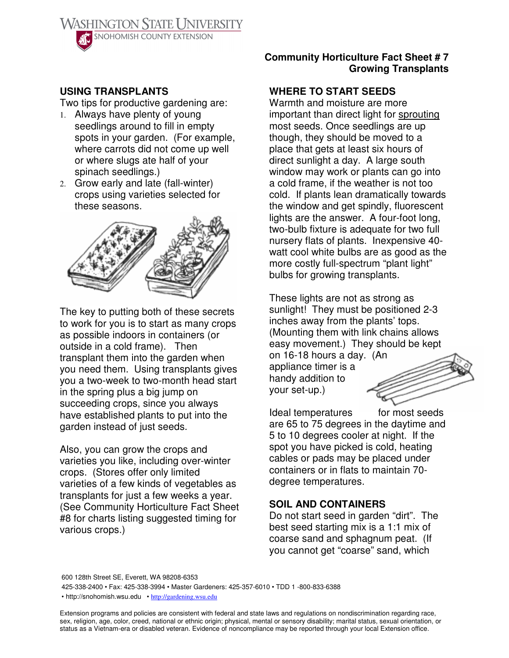

# **USING TRANSPLANTS**

Two tips for productive gardening are:

- 1. Always have plenty of young seedlings around to fill in empty spots in your garden. (For example, where carrots did not come up well or where slugs ate half of your spinach seedlings.)
- 2. Grow early and late (fall-winter) crops using varieties selected for these seasons.



The key to putting both of these secrets to work for you is to start as many crops as possible indoors in containers (or outside in a cold frame). Then transplant them into the garden when you need them. Using transplants gives you a two-week to two-month head start in the spring plus a big jump on succeeding crops, since you always have established plants to put into the garden instead of just seeds.

Also, you can grow the crops and varieties you like, including over-winter crops. (Stores offer only limited varieties of a few kinds of vegetables as transplants for just a few weeks a year. (See Community Horticulture Fact Sheet #8 for charts listing suggested timing for various crops.)

# **Community Horticulture Fact Sheet # 7 Growing Transplants**

### **WHERE TO START SEEDS**

Warmth and moisture are more important than direct light for sprouting most seeds. Once seedlings are up though, they should be moved to a place that gets at least six hours of direct sunlight a day. A large south window may work or plants can go into a cold frame, if the weather is not too cold. If plants lean dramatically towards the window and get spindly, fluorescent lights are the answer. A four-foot long, two-bulb fixture is adequate for two full nursery flats of plants. Inexpensive 40 watt cool white bulbs are as good as the more costly full-spectrum "plant light" bulbs for growing transplants.

These lights are not as strong as sunlight! They must be positioned 2-3 inches away from the plants' tops. (Mounting them with link chains allows easy movement.) They should be kept on 16-18 hours a day. (An appliance timer is a handy addition to your set-up.)

Ideal temperatures for most seeds are 65 to 75 degrees in the daytime and 5 to 10 degrees cooler at night. If the spot you have picked is cold, heating cables or pads may be placed under containers or in flats to maintain 70 degree temperatures.

## **SOIL AND CONTAINERS**

Do not start seed in garden "dirt". The best seed starting mix is a 1:1 mix of coarse sand and sphagnum peat. (If you cannot get "coarse" sand, which

600 128th Street SE, Everett, WA 98208-6353

425-338-2400 • Fax: 425-338-3994 • Master Gardeners: 425-357-6010 • TDD 1 -800-833-6388

• http://snohomish.wsu.edu • http://gardening.wsu.edu

Extension programs and policies are consistent with federal and state laws and regulations on nondiscrimination regarding race, sex, religion, age, color, creed, national or ethnic origin; physical, mental or sensory disability; marital status, sexual orientation, or status as a Vietnam-era or disabled veteran. Evidence of noncompliance may be reported through your local Extension office.